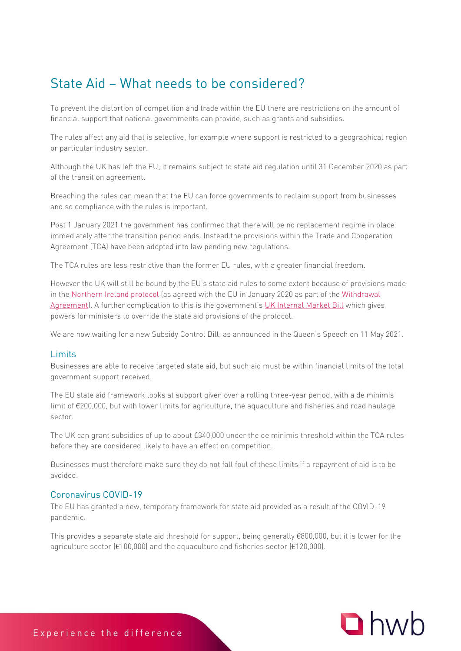# State Aid - What needs to be considered?

To prevent the distortion of competition and trade within the EU there are restrictions on the amount of financial support that national governments can provide, such as grants and subsidies.

The rules affect any aid that is selective, for example where support is restricted to a geographical region or particular industry sector.

Although the UK has left the EU, it remains subject to state aid regulation until 31 December 2020 as part of the transition agreement.

Breaching the rules can mean that the EU can force governments to reclaim support from businesses and so compliance with the rules is important.

Post 1 January 2021 the government has confirmed that there will be no replacement regime in place immediately after the transition period ends. Instead the provisions within the Trade and Cooperation Agreement (TCA) have been adopted into law pending new regulations.

The TCA rules are less restrictive than the former EU rules, with a greater financial freedom.

However the UK will still be bound by the EU's state aid rules to some extent because of provisions made in the [Northern Ireland protocol](https://www.instituteforgovernment.org.uk/explainers/brexit-deal-northern-ireland-protocol) (as agreed with the EU in January 2020 as part of the [Withdrawal](https://www.instituteforgovernment.org.uk/explainers/brexit-deal-withdrawal-agreement)  [Agreement](https://www.instituteforgovernment.org.uk/explainers/brexit-deal-withdrawal-agreement)). A further complication to this is the government's [UK Internal Market Bill](https://www.instituteforgovernment.org.uk/explainers/internal-market-act) which gives powers for ministers to override the state aid provisions of the protocol.

We are now waiting for a new Subsidy Control Bill, as announced in the Queen's Speech on 11 May 2021.

#### **Limits**

Limits Businesses are able to receive targeted state aid, but such aid must be within financial limits of the total government support received.

The EU state aid framework looks at support given over a rolling three-year period, with a de minimis limit of €200,000, but with lower limits for agriculture, the aquaculture and fisheries and road haulage sector.

The UK can grant subsidies of up to about £340,000 under the de minimis threshold within the TCA rules before they are considered likely to have an effect on competition.

Businesses must therefore make sure they do not fall foul of these limits if a repayment of aid is to be avoided.

#### Coronavirus COVID-19

The EU has granted a new, temporary framework for state aid provided as a result of the COVID-19 pandemic.

This provides a separate state aid threshold for support, being generally €800,000, but it is lower for the agriculture sector (€100,000) and the aquaculture and fisheries sector (€120,000).

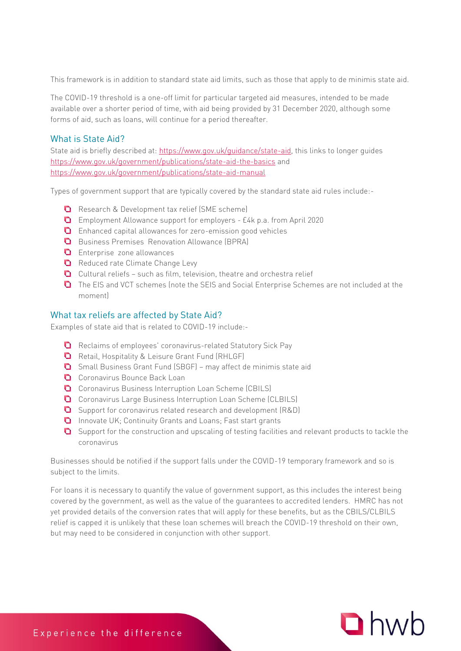This framework is in addition to standard state aid limits, such as those that apply to de minimis state aid.

The COVID-19 threshold is a one-off limit for particular targeted aid measures, intended to be made available over a shorter period of time, with aid being provided by 31 December 2020, although some forms of aid, such as loans, will continue for a period thereafter.

### What is State Aid?

State aid is briefly described at: <u>https://www.gov.uk/guidance/state-aid</u>, this links to longer guides <https://www.gov.uk/government/publications/state-aid-the-basics> and <https://www.gov.uk/government/publications/state-aid-manual>

Types of government support that are typically covered by the standard state aid rules include:-

- Research & Development tax relief (SME scheme)
- Employment Allowance support for employers £4k p.a. from April 2020
- Enhanced capital allowances for zero-emission good vehicles
- **Q** Business Premises Renovation Allowance (BPRA)
- **D** Enterprise zone allowances
- Reduced rate Climate Change Levy
- $\Box$  Cultural reliefs such as film, television, theatre and orchestra relief
- The EIS and VCT schemes (note the SEIS and Social Enterprise Schemes are not included at the moment)

Examples of state aid that is related to COVID-19 include:-

- Reclaims of employees' coronavirus-related Statutory Sick Pay
- Retail, Hospitality & Leisure Grant Fund (RHLGF)
- Small Business Grant Fund (SBGF) may affect de minimis state aid
- Coronavirus Bounce Back Loan
- Coronavirus Business Interruption Loan Scheme (CBILS)
- Coronavirus Large Business Interruption Loan Scheme (CLBILS)
- **Q** Support for coronavirus related research and development (R&D)
- **Q** Innovate UK; Continuity Grants and Loans; Fast start grants
- **O** Support for the construction and upscaling of testing facilities and relevant products to tackle the coronavirus

Businesses should be notified if the support falls under the COVID-19 temporary framework and so is subject to the limits.

For loans it is necessary to quantify the value of government support, as this includes the interest being covered by the government, as well as the value of the guarantees to accredited lenders. HMRC has not yet provided details of the conversion rates that will apply for these benefits, but as the CBILS/CLBILS relief is capped it is unlikely that these loan schemes will breach the COVID-19 threshold on their own, but may need to be considered in conjunction with other support.